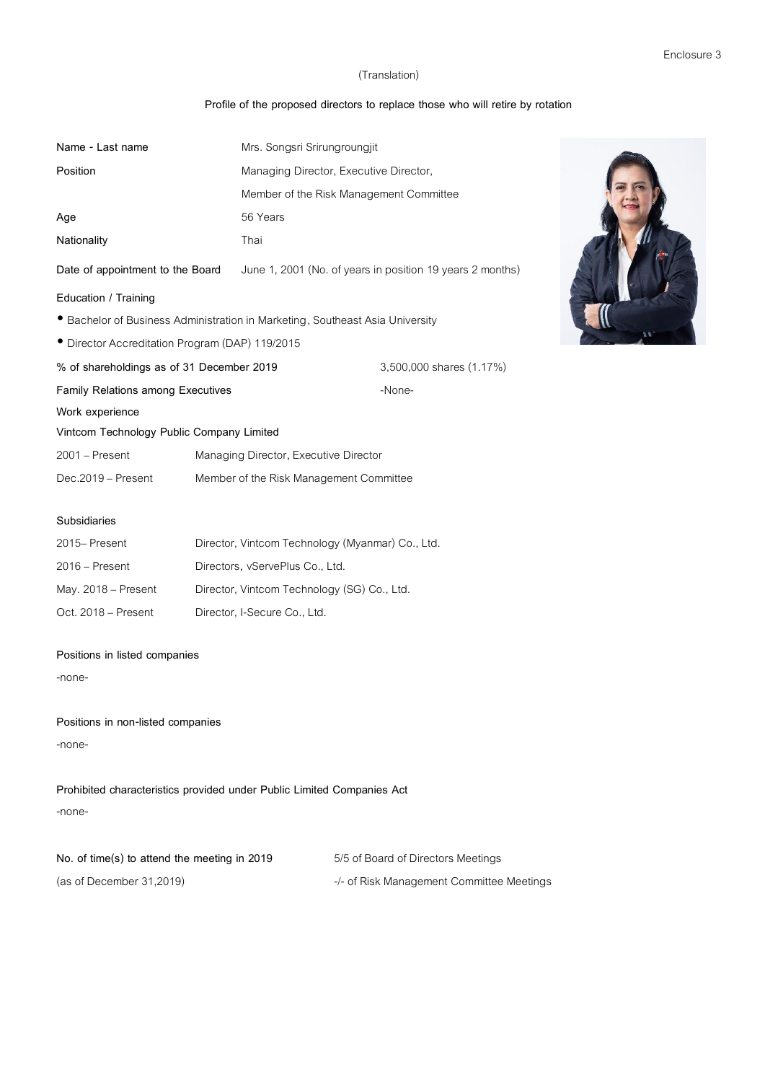### **Profile of the proposed directors to replace those who will retire by rotation**

| Name - Last name                                                              | Mrs. Songsri Srirungroungjit                |                                                           |
|-------------------------------------------------------------------------------|---------------------------------------------|-----------------------------------------------------------|
| Position                                                                      |                                             | Managing Director, Executive Director,                    |
|                                                                               |                                             | Member of the Risk Management Committee                   |
| Age                                                                           | 56 Years                                    |                                                           |
| Nationality                                                                   | Thai                                        |                                                           |
| Date of appointment to the Board                                              |                                             | June 1, 2001 (No. of years in position 19 years 2 months) |
| Education / Training                                                          |                                             |                                                           |
| • Bachelor of Business Administration in Marketing, Southeast Asia University |                                             |                                                           |
| • Director Accreditation Program (DAP) 119/2015                               |                                             |                                                           |
| % of shareholdings as of 31 December 2019                                     |                                             | 3,500,000 shares (1.17%)                                  |
| <b>Family Relations among Executives</b>                                      |                                             | -None-                                                    |
| Work experience                                                               |                                             |                                                           |
| Vintcom Technology Public Company Limited                                     |                                             |                                                           |
| $2001$ – Present                                                              | Managing Director, Executive Director       |                                                           |
| Dec.2019 - Present                                                            | Member of the Risk Management Committee     |                                                           |
|                                                                               |                                             |                                                           |
| Subsidiaries                                                                  |                                             |                                                           |
| 2015-Present                                                                  |                                             | Director, Vintcom Technology (Myanmar) Co., Ltd.          |
| $2016$ – Present                                                              | Directors, vServePlus Co., Ltd.             |                                                           |
| May. $2018$ – Present                                                         | Director, Vintcom Technology (SG) Co., Ltd. |                                                           |
| Oct. 2018 - Present                                                           | Director, I-Secure Co., Ltd.                |                                                           |

## **Positions in listed companies**

-none-

**Positions in non-listed companies**

-none-

**Prohibited characteristics provided under Public Limited Companies Act** -none-

| No. of time(s) to attend the meeting in 2019 | 5/5 of Board of Directors Meetings        |
|----------------------------------------------|-------------------------------------------|
| (as of December $31,2019$ )                  | -/- of Risk Management Committee Meetings |

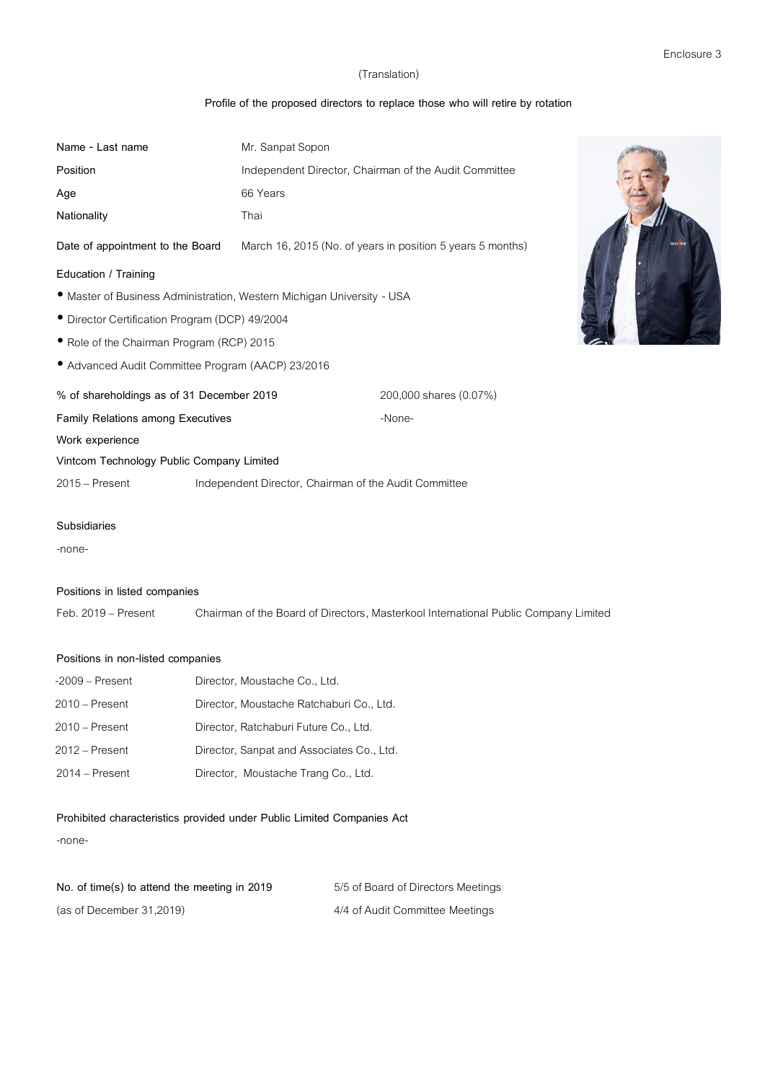# **Profile of the proposed directors to replace those who will retire by rotation**

| Name - Last name                                                       | Mr. Sanpat Sopon |                                                                                     |  |
|------------------------------------------------------------------------|------------------|-------------------------------------------------------------------------------------|--|
| Position                                                               |                  | Independent Director, Chairman of the Audit Committee                               |  |
| Age                                                                    | 66 Years         |                                                                                     |  |
| Nationality                                                            | Thai             |                                                                                     |  |
| Date of appointment to the Board                                       |                  | March 16, 2015 (No. of years in position 5 years 5 months)                          |  |
| Education / Training                                                   |                  |                                                                                     |  |
| • Master of Business Administration, Western Michigan University - USA |                  |                                                                                     |  |
| • Director Certification Program (DCP) 49/2004                         |                  |                                                                                     |  |
| • Role of the Chairman Program (RCP) 2015                              |                  |                                                                                     |  |
| • Advanced Audit Committee Program (AACP) 23/2016                      |                  |                                                                                     |  |
| % of shareholdings as of 31 December 2019                              |                  | 200,000 shares (0.07%)                                                              |  |
| <b>Family Relations among Executives</b>                               |                  | -None-                                                                              |  |
| Work experience                                                        |                  |                                                                                     |  |
| Vintcom Technology Public Company Limited                              |                  |                                                                                     |  |
| 2015 - Present                                                         |                  | Independent Director, Chairman of the Audit Committee                               |  |
| <b>Subsidiaries</b>                                                    |                  |                                                                                     |  |
| -none-                                                                 |                  |                                                                                     |  |
| Positions in listed companies                                          |                  |                                                                                     |  |
| Feb. 2019 - Present                                                    |                  | Chairman of the Board of Directors, Masterkool International Public Company Limited |  |

## **Positions in non-listed companies**

| $-2009$ – Present | Director, Moustache Co., Ltd.             |
|-------------------|-------------------------------------------|
| $2010 -$ Present  | Director, Moustache Ratchaburi Co., Ltd.  |
| $2010 -$ Present  | Director, Ratchaburi Future Co., Ltd.     |
| $2012 -$ Present  | Director, Sanpat and Associates Co., Ltd. |
| $2014 -$ Present  | Director, Moustache Trang Co., Ltd.       |

## **Prohibited characteristics provided under Public Limited Companies Act**

-none-

| No. of time(s) to attend the meeting in 2019 | 5/5 of Board of Directors Meetings |
|----------------------------------------------|------------------------------------|
| (as of December 31,2019)                     | 4/4 of Audit Committee Meetings    |

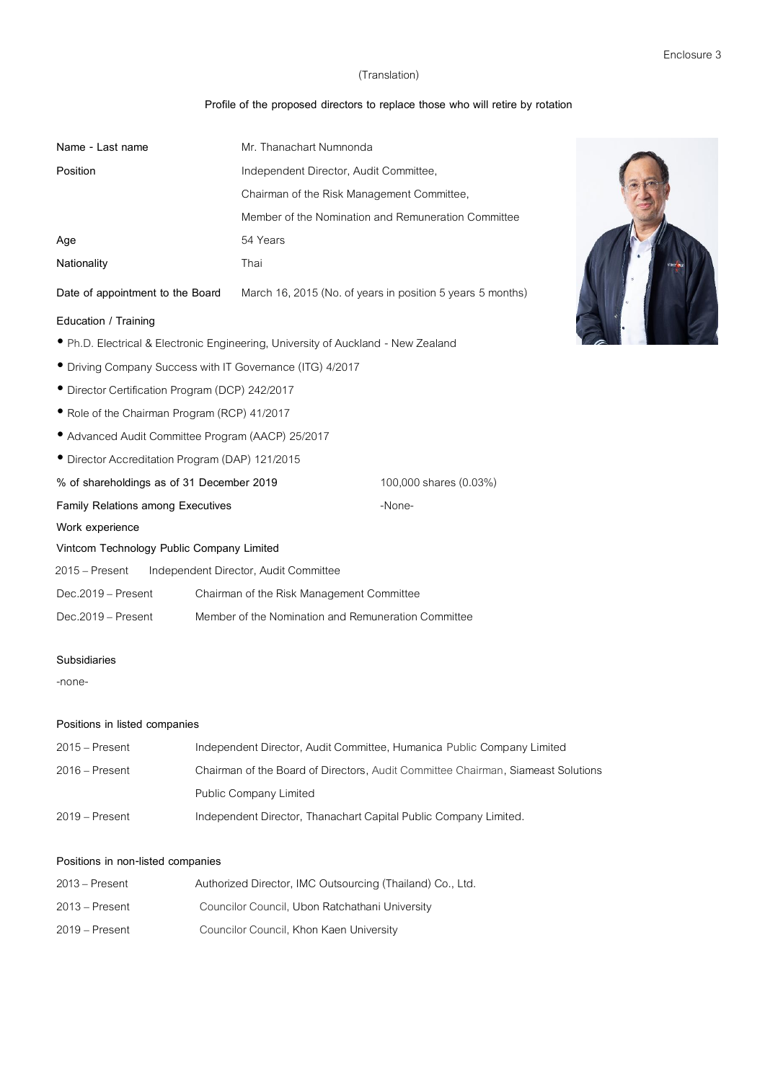# **Profile of the proposed directors to replace those who will retire by rotation**

| Name - Last name                                                    |                                       | Mr. Thanachart Numnonda                                                           |
|---------------------------------------------------------------------|---------------------------------------|-----------------------------------------------------------------------------------|
| Position                                                            |                                       | Independent Director, Audit Committee,                                            |
|                                                                     |                                       | Chairman of the Risk Management Committee,                                        |
|                                                                     |                                       | Member of the Nomination and Remuneration Committee                               |
| Age                                                                 | 54 Years                              |                                                                                   |
| Nationality                                                         | Thai                                  |                                                                                   |
| Date of appointment to the Board                                    |                                       | March 16, 2015 (No. of years in position 5 years 5 months)                        |
| Education / Training                                                |                                       |                                                                                   |
|                                                                     |                                       | • Ph.D. Electrical & Electronic Engineering, University of Auckland - New Zealand |
| • Driving Company Success with IT Governance (ITG) 4/2017           |                                       |                                                                                   |
| • Director Certification Program (DCP) 242/2017                     |                                       |                                                                                   |
| • Role of the Chairman Program (RCP) 41/2017                        |                                       |                                                                                   |
| • Advanced Audit Committee Program (AACP) 25/2017                   |                                       |                                                                                   |
| · Director Accreditation Program (DAP) 121/2015                     |                                       |                                                                                   |
| % of shareholdings as of 31 December 2019<br>100,000 shares (0.03%) |                                       |                                                                                   |
| <b>Family Relations among Executives</b>                            |                                       | -None-                                                                            |
| Work experience                                                     |                                       |                                                                                   |
| Vintcom Technology Public Company Limited                           |                                       |                                                                                   |
| $2015 -$ Present                                                    | Independent Director, Audit Committee |                                                                                   |
| Dec.2019 - Present                                                  |                                       | Chairman of the Risk Management Committee                                         |
| Dec.2019 - Present                                                  |                                       | Member of the Nomination and Remuneration Committee                               |
| Subsidiaries                                                        |                                       |                                                                                   |
| -none-                                                              |                                       |                                                                                   |
|                                                                     |                                       |                                                                                   |
| .                                                                   |                                       |                                                                                   |



#### **Positions in listed companies**

| 2015 – Present | Independent Director, Audit Committee, Humanica Public Company Limited           |
|----------------|----------------------------------------------------------------------------------|
| 2016 – Present | Chairman of the Board of Directors, Audit Committee Chairman, Siameast Solutions |
|                | <b>Public Company Limited</b>                                                    |
| 2019 – Present | Independent Director, Thanachart Capital Public Company Limited.                 |

### **Positions in non-listed companies**

| 2013 – Present | Authorized Director, IMC Outsourcing (Thailand) Co., Ltd. |
|----------------|-----------------------------------------------------------|
| 2013 – Present | Councilor Council, Ubon Ratchathani University            |
| 2019 – Present | Councilor Council, Khon Kaen University                   |